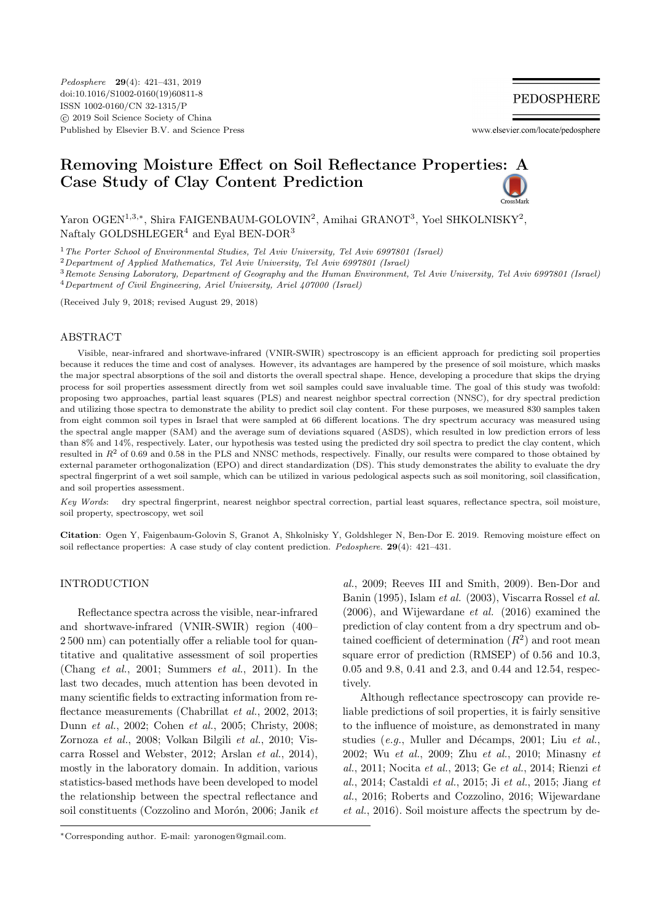*Pedosphere* **29**(4): 421–431, 2019 doi:10.1016/S1002-0160(19)60811-8 ISSN 1002-0160/CN 32-1315/P  $\circ$  2019 Soil Science Society of China Published by Elsevier B.V. and Science Press

**PEDOSPHERE** 

www.elsevier.com/locate/pedosphere

# **Removing Moisture Effect on Soil Reflectance Propertie[s: A](http://crossmark.crossref.org/dialog/?doi=10.1016/S1002-0160(19)60811-8&domain=pdf) Case Study of Clay Content Prediction**

Yaron OGEN<sup>1,3,\*</sup>, Shira FAIGENBAUM-GOLOVIN<sup>2</sup>, Amihai GRANOT<sup>3</sup>, Yoel SHKOLNISKY<sup>2</sup>, Naftaly GOLDSHLEGER<sup>4</sup> and Eyal BEN-DOR<sup>3</sup>

<sup>1</sup>*The Porter School of Environmental Studies, Tel Aviv University, Tel Aviv 6997801 (Israel)*

<sup>2</sup>*Department of Applied Mathematics, Tel Aviv University, Tel Aviv 6997801 (Israel)*

<sup>3</sup>*Remote Sensing Laboratory, Department of Geography and the Human Environment, Tel Aviv University, Tel Aviv 6997801 (Israel)*

<sup>4</sup>*Department of Civil Engineering, Ariel University, Ariel 407000 (Israel)*

(Received July 9, 2018; revised August 29, 2018)

#### ABSTRACT

Visible, near-infrared and shortwave-infrared (VNIR-SWIR) spectroscopy is an efficient approach for predicting soil properties because it reduces the time and cost of analyses. However, its advantages are hampered by the presence of soil moisture, which masks the major spectral absorptions of the soil and distorts the overall spectral shape. Hence, developing a procedure that skips the drying process for soil properties assessment directly from wet soil samples could save invaluable time. The goal of this study was twofold: proposing two approaches, partial least squares (PLS) and nearest neighbor spectral correction (NNSC), for dry spectral prediction and utilizing those spectra to demonstrate the ability to predict soil clay content. For these purposes, we measured 830 samples taken from eight common soil types in Israel that were sampled at 66 different locations. The dry spectrum accuracy was measured using the spectral angle mapper (SAM) and the average sum of deviations squared (ASDS), which resulted in low prediction errors of less than 8% and 14%, respectively. Later, our hypothesis was tested using the predicted dry soil spectra to predict the clay content, which resulted in  $R<sup>2</sup>$  of 0.69 and 0.58 in the PLS and NNSC methods, respectively. Finally, our results were compared to those obtained by external parameter orthogonalization (EPO) and direct standardization (DS). This study demonstrates the ability to evaluate the dry spectral fingerprint of a wet soil sample, which can be utilized in various pedological aspects such as soil monitoring, soil classification, and soil properties assessment.

*Key Words*: dry spectral fingerprint, nearest neighbor spectral correction, partial least squares, reflectance spectra, soil moisture, soil property, spectroscopy, wet soil

**Citation**: Ogen Y, Faigenbaum-Golovin S, Granot A, Shkolnisky Y, Goldshleger N, Ben-Dor E. 2019. Removing moisture effect on soil reflectance properties: A case study of clay content prediction. *Pedosphere*. **29**(4): 421–431.

## INTRODUCTION

Reflectance spectra across the visible, near-infrared and shortwave-infrared (VNIR-SWIR) region (400– 2 500 nm) can potentially offer a reliable tool for quantitative and qualitative assessment of soil properties (Chang *et al.*, 2001; Summers *et al.*, 2011). In the last two decades, much attention has been devoted in many scientific fields to extracting information from reflectance measurements (Chabrillat *et al.*, 2002, 2013; Dunn *et al.*, 2002; Cohen *et al.*, 2005; Christy, 2008; Zornoza *et al.*, 2008; Volkan Bilgili *et al.*, 2010; Viscarra Rossel and Webster, 2012; Arslan *et al.*, 2014), mostly in the laboratory domain. In addition, various statistics-based methods have been developed to model the relationship between the spectral reflectance and soil constituents (Cozzolino and Morón, 2006; Janik *et* 

*al.*, 2009; Reeves III and Smith, 2009). Ben-Dor and Banin (1995), Islam *et al.* (2003), Viscarra Rossel *et al.* (2006), and Wijewardane *et al.* (2016) examined the prediction of clay content from a dry spectrum and obtained coefficient of determination  $(R^2)$  and root mean square error of prediction (RMSEP) of 0.56 and 10.3, 0.05 and 9.8, 0.41 and 2.3, and 0.44 and 12.54, respectively.

Although reflectance spectroscopy can provide reliable predictions of soil properties, it is fairly sensitive to the influence of moisture, as demonstrated in many studies (*e.g.*, Muller and Décamps, 2001; Liu *et al.*, 2002; Wu *et al.*, 2009; Zhu *et al.*, 2010; Minasny *et al.*, 2011; Nocita *et al.*, 2013; Ge *et al.*, 2014; Rienzi *et al.*, 2014; Castaldi *et al.*, 2015; Ji *et al.*, 2015; Jiang *et al.*, 2016; Roberts and Cozzolino, 2016; Wijewardane *et al.*, 2016). Soil moisture affects the spectrum by de-

*<sup>∗</sup>*Corresponding author. E-mail: yaronogen@gmail.com.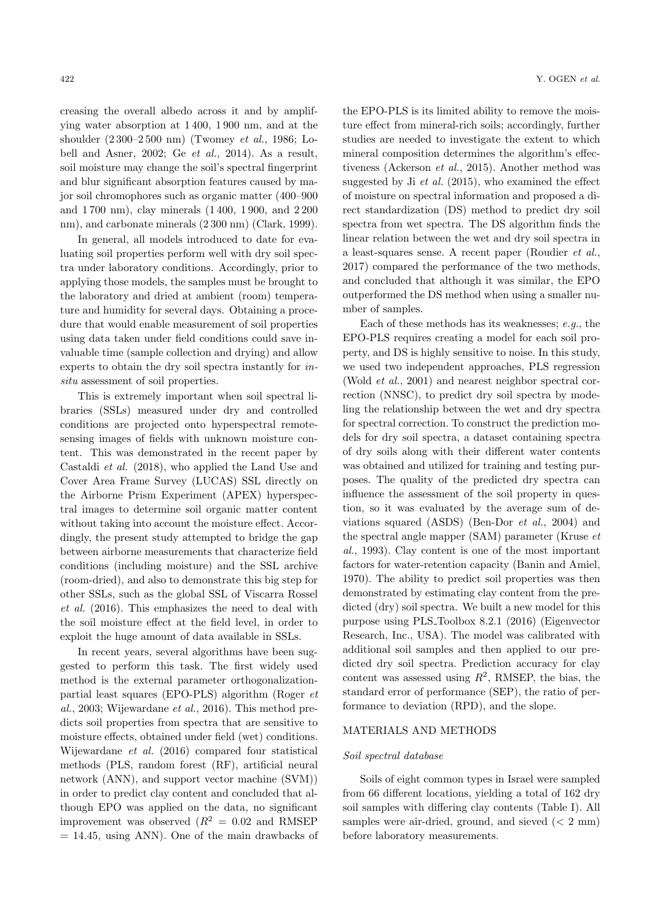creasing the overall albedo across it and by amplifying water absorption at 1 400, 1 900 nm, and at the shoulder (2 300–2 500 nm) (Twomey *et al.*, 1986; Lobell and Asner, 2002; Ge *et al.*, 2014). As a result, soil moisture may change the soil's spectral fingerprint and blur significant absorption features caused by major soil chromophores such as organic matter (400–900 and 1 700 nm), clay minerals (1 400, 1 900, and 2 200 nm), and carbonate minerals  $(2300 \text{ nm})$  (Clark, 1999).

In general, all models introduced to date for evaluating soil properties perform well with dry soil spectra under laboratory conditions. Accordingly, prior to applying those models, the samples must be brought to the laboratory and dried at ambient (room) temperature and humidity for several days. Obtaining a procedure that would enable measurement of soil properties using data taken under field conditions could save invaluable time (sample collection and drying) and allow experts to obtain the dry soil spectra instantly for *insitu* assessment of soil properties.

This is extremely important when soil spectral libraries (SSLs) measured under dry and controlled conditions are projected onto hyperspectral remotesensing images of fields with unknown moisture content. This was demonstrated in the recent paper by Castaldi *et al.* (2018), who applied the Land Use and Cover Area Frame Survey (LUCAS) SSL directly on the Airborne Prism Experiment (APEX) hyperspectral images to determine soil organic matter content without taking into account the moisture effect. Accordingly, the present study attempted to bridge the gap between airborne measurements that characterize field conditions (including moisture) and the SSL archive (room-dried), and also to demonstrate this big step for other SSLs, such as the global SSL of Viscarra Rossel *et al.* (2016). This emphasizes the need to deal with the soil moisture effect at the field level, in order to exploit the huge amount of data available in SSLs.

In recent years, several algorithms have been suggested to perform this task. The first widely used method is the external parameter orthogonalizationpartial least squares (EPO-PLS) algorithm (Roger *et al.*, 2003; Wijewardane *et al.*, 2016). This method predicts soil properties from spectra that are sensitive to moisture effects, obtained under field (wet) conditions. Wijewardane *et al.* (2016) compared four statistical methods (PLS, random forest (RF), artificial neural network (ANN), and support vector machine (SVM)) in order to predict clay content and concluded that although EPO was applied on the data, no significant improvement was observed  $(R^2 = 0.02$  and RMSEP  $= 14.45$ , using ANN). One of the main drawbacks of the EPO-PLS is its limited ability to remove the moisture effect from mineral-rich soils; accordingly, further studies are needed to investigate the extent to which mineral composition determines the algorithm's effectiveness (Ackerson *et al.*, 2015). Another method was suggested by Ji *et al.* (2015), who examined the effect of moisture on spectral information and proposed a direct standardization (DS) method to predict dry soil spectra from wet spectra. The DS algorithm finds the linear relation between the wet and dry soil spectra in a least-squares sense. A recent paper (Roudier *et al.*, 2017) compared the performance of the two methods, and concluded that although it was similar, the EPO outperformed the DS method when using a smaller number of samples.

Each of these methods has its weaknesses; *e.g.*, the EPO-PLS requires creating a model for each soil property, and DS is highly sensitive to noise. In this study, we used two independent approaches, PLS regression (Wold *et al.*, 2001) and nearest neighbor spectral correction (NNSC), to predict dry soil spectra by modeling the relationship between the wet and dry spectra for spectral correction. To construct the prediction models for dry soil spectra, a dataset containing spectra of dry soils along with their different water contents was obtained and utilized for training and testing purposes. The quality of the predicted dry spectra can influence the assessment of the soil property in question, so it was evaluated by the average sum of deviations squared (ASDS) (Ben-Dor *et al.*, 2004) and the spectral angle mapper (SAM) parameter (Kruse *et al.*, 1993). Clay content is one of the most important factors for water-retention capacity (Banin and Amiel, 1970). The ability to predict soil properties was then demonstrated by estimating clay content from the predicted (dry) soil spectra. We built a new model for this purpose using PLS Toolbox 8.2.1 (2016) (Eigenvector Research, Inc., USA). The model was calibrated with additional soil samples and then applied to our predicted dry soil spectra. Prediction accuracy for clay content was assessed using  $R^2$ , RMSEP, the bias, the standard error of performance (SEP), the ratio of performance to deviation (RPD), and the slope.

#### MATERIALS AND METHODS

## *Soil spectral database*

Soils of eight common types in Israel were sampled from 66 different locations, yielding a total of 162 dry soil samples with differing clay contents (Table I). All samples were air-dried, ground, and sieved (*<* 2 mm) before laboratory measurements.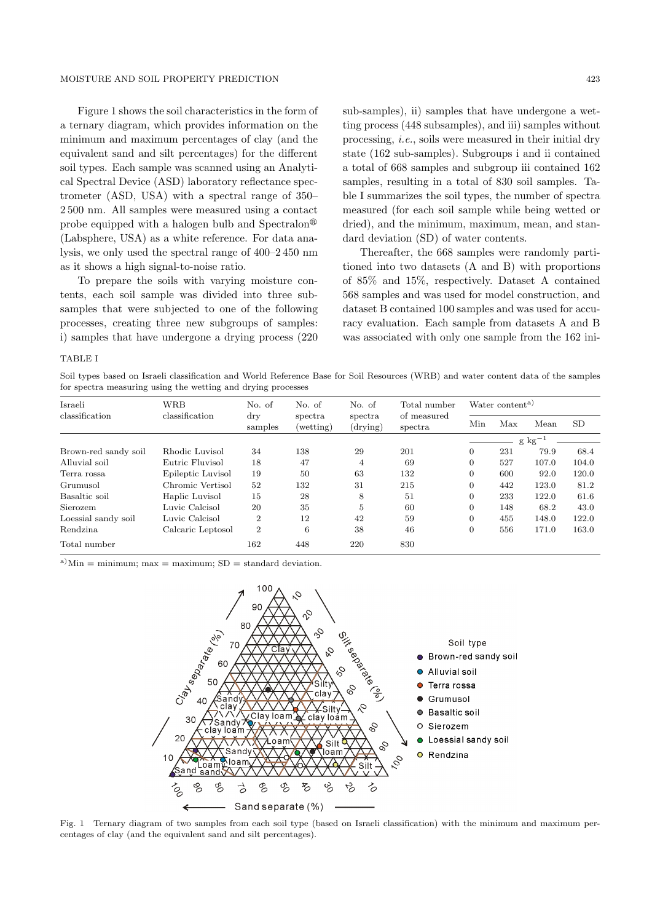### MOISTURE AND SOIL PROPERTY PREDICTION 423

Figure 1 shows the soil characteristics in the form of a ternary diagram, which provides information on the minimum and maximum percentages of clay (and the equivalent sand and silt percentages) for the different soil types. Each sample was scanned using an Analytical Spectral Device (ASD) laboratory reflectance spectrometer (ASD, USA) with a spectral range of 350– 2 500 nm. All samples were measured using a contact probe equipped with a halogen bulb and Spectralon<sup>®</sup> (Labsphere, USA) as a white reference. For data analysis, we only used the spectral range of 400–2 450 nm as it shows a high signal-to-noise ratio.

To prepare the soils with varying moisture contents, each soil sample was divided into three subsamples that were subjected to one of the following processes, creating three new subgroups of samples: i) samples that have undergone a drying process (220 sub-samples), ii) samples that have undergone a wetting process (448 subsamples), and iii) samples without processing, *i.e.*, soils were measured in their initial dry state (162 sub-samples). Subgroups i and ii contained a total of 668 samples and subgroup iii contained 162 samples, resulting in a total of 830 soil samples. Table I summarizes the soil types, the number of spectra measured (for each soil sample while being wetted or dried), and the minimum, maximum, mean, and standard deviation (SD) of water contents.

Thereafter, the 668 samples were randomly partitioned into two datasets (A and B) with proportions of 85% and 15%, respectively. Dataset A contained 568 samples and was used for model construction, and dataset B contained 100 samples and was used for accuracy evaluation. Each sample from datasets A and B was associated with only one sample from the 162 ini-

TABLE I

Soil types based on Israeli classification and World Reference Base for Soil Resources (WRB) and water content data of the samples for spectra measuring using the wetting and drying processes

| Israeli              | <b>WRB</b>        | No. of                     | No. of               | No. of              | Total number           |                | Water content <sup>a)</sup> |                 |           |
|----------------------|-------------------|----------------------------|----------------------|---------------------|------------------------|----------------|-----------------------------|-----------------|-----------|
| classification       | classification    | $\rm{d}r\rm{v}$<br>samples | spectra<br>(wetting) | spectra<br>(drying) | of measured<br>spectra | Min            | Max                         | Mean            | <b>SD</b> |
|                      |                   |                            |                      |                     |                        |                |                             | $\rm g~kg^{-1}$ |           |
| Brown-red sandy soil | Rhodic Luvisol    | 34                         | 138                  | 29                  | 201                    | $\Omega$       | 231                         | 79.9            | 68.4      |
| Alluvial soil        | Eutric Fluvisol   | 18                         | 47                   | $\overline{4}$      | 69                     | $\Omega$       | 527                         | 107.0           | 104.0     |
| Terra rossa          | Epileptic Luvisol | 19                         | 50                   | 63                  | 132                    | $\overline{0}$ | 600                         | 92.0            | 120.0     |
| Grumusol             | Chromic Vertisol  | 52                         | 132                  | 31                  | 215                    | $\Omega$       | 442                         | 123.0           | 81.2      |
| Basaltic soil        | Haplic Luvisol    | 15                         | 28                   | 8                   | 51                     | $\Omega$       | 233                         | 122.0           | 61.6      |
| Sierozem             | Luvic Calcisol    | 20                         | 35                   | 5                   | 60                     | $\Omega$       | 148                         | 68.2            | 43.0      |
| Loessial sandy soil  | Luvic Calcisol    | $\overline{2}$             | 12                   | 42                  | 59                     | $\Omega$       | 455                         | 148.0           | 122.0     |
| Rendzina             | Calcaric Leptosol | $\overline{2}$             | 6                    | 38                  | 46                     | $\overline{0}$ | 556                         | 171.0           | 163.0     |
| Total number         |                   | 162                        | 448                  | 220                 | 830                    |                |                             |                 |           |

a)Min = minimum; max = maximum;  $SD =$  standard deviation.



Fig. 1 Ternary diagram of two samples from each soil type (based on Israeli classification) with the minimum and maximum percentages of clay (and the equivalent sand and silt percentages).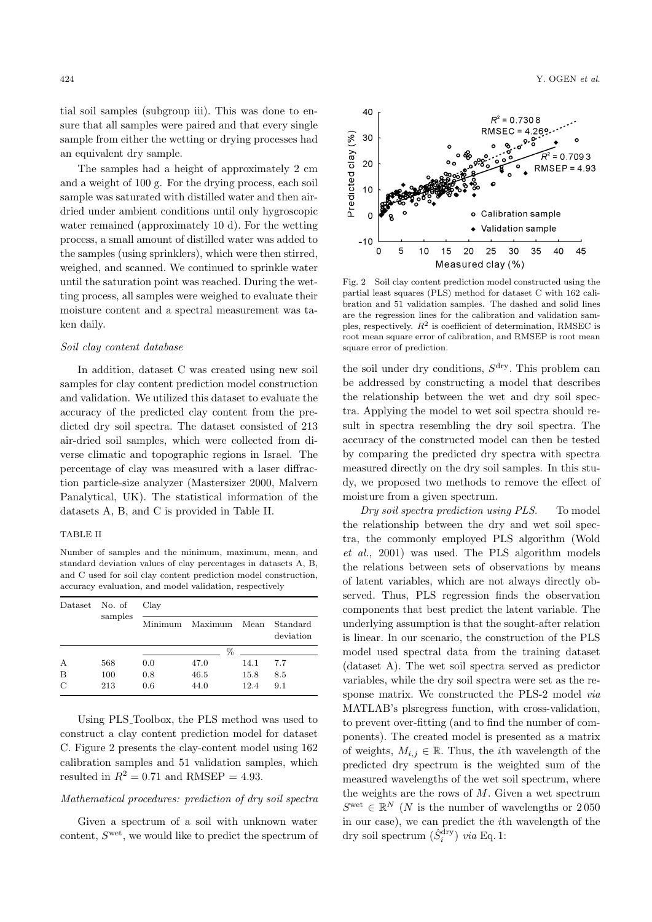tial soil samples (subgroup iii). This was done to ensure that all samples were paired and that every single sample from either the wetting or drying processes had an equivalent dry sample.

The samples had a height of approximately 2 cm and a weight of 100 g. For the drying process, each soil sample was saturated with distilled water and then airdried under ambient conditions until only hygroscopic water remained (approximately 10 d). For the wetting process, a small amount of distilled water was added to the samples (using sprinklers), which were then stirred, weighed, and scanned. We continued to sprinkle water until the saturation point was reached. During the wetting process, all samples were weighed to evaluate their moisture content and a spectral measurement was taken daily.

### *Soil clay content database*

In addition, dataset C was created using new soil samples for clay content prediction model construction and validation. We utilized this dataset to evaluate the accuracy of the predicted clay content from the predicted dry soil spectra. The dataset consisted of 213 air-dried soil samples, which were collected from diverse climatic and topographic regions in Israel. The percentage of clay was measured with a laser diffraction particle-size analyzer (Mastersizer 2000, Malvern Panalytical, UK). The statistical information of the datasets A, B, and C is provided in Table II.

#### TABLE II

Number of samples and the minimum, maximum, mean, and standard deviation values of clay percentages in datasets A, B, and C used for soil clay content prediction model construction, accuracy evaluation, and model validation, respectively

| Dataset | No. of  | Clay    |              |      |                       |  |  |  |
|---------|---------|---------|--------------|------|-----------------------|--|--|--|
|         | samples | Minimum | Maximum Mean |      | Standard<br>deviation |  |  |  |
|         |         |         | %            |      |                       |  |  |  |
| А       | 568     | 0.0     | 47.0         | 14.1 | 7.7                   |  |  |  |
| B       | 100     | 0.8     | 46.5         | 15.8 | 8.5                   |  |  |  |
| C       | 213     | 0.6     | 44.0         | 12.4 | 9.1                   |  |  |  |

Using PLS Toolbox, the PLS method was used to construct a clay content prediction model for dataset C. Figure 2 presents the clay-content model using 162 calibration samples and 51 validation samples, which resulted in  $R^2 = 0.71$  and RMSEP = 4.93.

## *Mathematical procedures: prediction of dry soil spectra*

Given a spectrum of a soil with unknown water content,  $S<sup>wet</sup>$ , we would like to predict the spectrum of



Fig. 2 Soil clay content prediction model constructed using the partial least squares (PLS) method for dataset C with 162 calibration and 51 validation samples. The dashed and solid lines are the regression lines for the calibration and validation samples, respectively.  $R^2$  is coefficient of determination, RMSEC is root mean square error of calibration, and RMSEP is root mean square error of prediction.

the soil under dry conditions,  $S^{\text{dry}}$ . This problem can be addressed by constructing a model that describes the relationship between the wet and dry soil spectra. Applying the model to wet soil spectra should result in spectra resembling the dry soil spectra. The accuracy of the constructed model can then be tested by comparing the predicted dry spectra with spectra measured directly on the dry soil samples. In this study, we proposed two methods to remove the effect of moisture from a given spectrum.

*Dry soil spectra prediction using PLS*. To model the relationship between the dry and wet soil spectra, the commonly employed PLS algorithm (Wold *et al.*, 2001) was used. The PLS algorithm models the relations between sets of observations by means of latent variables, which are not always directly observed. Thus, PLS regression finds the observation components that best predict the latent variable. The underlying assumption is that the sought-after relation is linear. In our scenario, the construction of the PLS model used spectral data from the training dataset (dataset A). The wet soil spectra served as predictor variables, while the dry soil spectra were set as the response matrix. We constructed the PLS-2 model *via* MATLAB's plsregress function, with cross-validation, to prevent over-fitting (and to find the number of components). The created model is presented as a matrix of weights,  $M_{i,j} \in \mathbb{R}$ . Thus, the *i*th wavelength of the predicted dry spectrum is the weighted sum of the measured wavelengths of the wet soil spectrum, where the weights are the rows of *M*. Given a wet spectrum  $S^{\text{wet}} \in \mathbb{R}^N$  (*N* is the number of wavelengths or 2050 in our case), we can predict the *i*th wavelength of the dry soil spectrum  $(\hat{S}_i^{\text{dry}})$  *via* Eq. 1: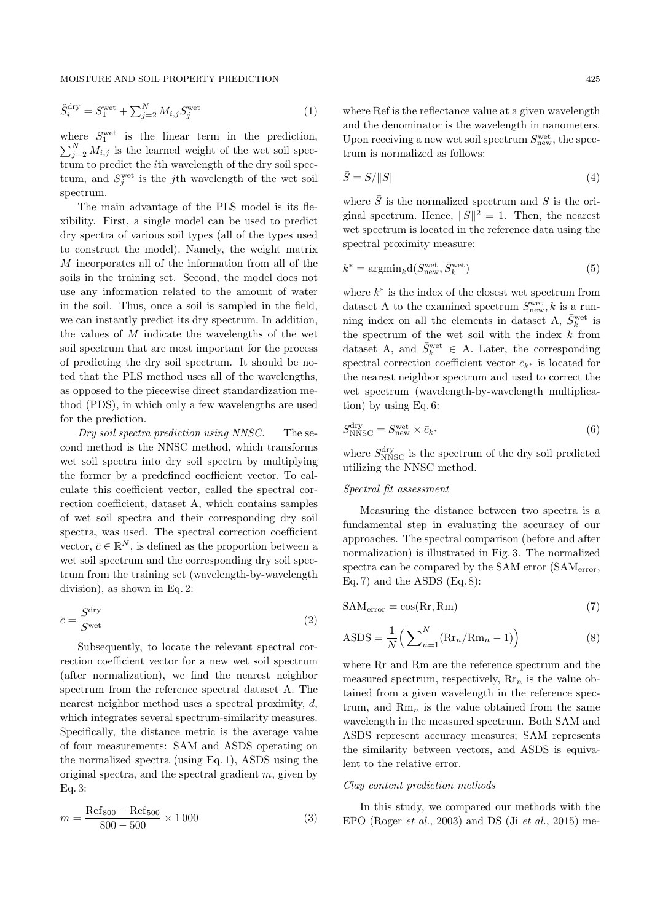MOISTURE AND SOIL PROPERTY PREDICTION 425

$$
\hat{S}_i^{\text{dry}} = S_1^{\text{wet}} + \sum_{j=2}^{N} M_{i,j} S_j^{\text{wet}} \tag{1}
$$

where  $S_1^{\text{wet}}$  is the linear term in the prediction,  $\sum_{j=2}^{N} M_{i,j}$  is the learned weight of the wet soil spectrum to predict the *i*th wavelength of the dry soil spectrum, and  $S_j^{\text{wet}}$  is the *j*th wavelength of the wet soil spectrum.

The main advantage of the PLS model is its flexibility. First, a single model can be used to predict dry spectra of various soil types (all of the types used to construct the model). Namely, the weight matrix *M* incorporates all of the information from all of the soils in the training set. Second, the model does not use any information related to the amount of water in the soil. Thus, once a soil is sampled in the field, we can instantly predict its dry spectrum. In addition, the values of *M* indicate the wavelengths of the wet soil spectrum that are most important for the process of predicting the dry soil spectrum. It should be noted that the PLS method uses all of the wavelengths, as opposed to the piecewise direct standardization method (PDS), in which only a few wavelengths are used for the prediction.

*Dry soil spectra prediction using NNSC.* The second method is the NNSC method, which transforms wet soil spectra into dry soil spectra by multiplying the former by a predefined coefficient vector. To calculate this coefficient vector, called the spectral correction coefficient, dataset A, which contains samples of wet soil spectra and their corresponding dry soil spectra, was used. The spectral correction coefficient vector,  $\bar{c} \in \mathbb{R}^N$ , is defined as the proportion between a wet soil spectrum and the corresponding dry soil spectrum from the training set (wavelength-by-wavelength division), as shown in Eq. 2:

$$
\bar{c} = \frac{S^{\rm dry}}{S^{\rm wet}}\tag{2}
$$

Subsequently, to locate the relevant spectral correction coefficient vector for a new wet soil spectrum (after normalization), we find the nearest neighbor spectrum from the reference spectral dataset A. The nearest neighbor method uses a spectral proximity, *d*, which integrates several spectrum-similarity measures. Specifically, the distance metric is the average value of four measurements: SAM and ASDS operating on the normalized spectra (using Eq. 1), ASDS using the original spectra, and the spectral gradient *m*, given by Eq. 3:

$$
m = \frac{\text{Ref}_{800} - \text{Ref}_{500}}{800 - 500} \times 1000
$$
 (3)

where Ref is the reflectance value at a given wavelength and the denominator is the wavelength in nanometers. Upon receiving a new wet soil spectrum  $S_{\text{new}}^{\text{wet}}$ , the spectrum is normalized as follows:

$$
\bar{S} = S / \|S\| \tag{4}
$$

where  $\overline{S}$  is the normalized spectrum and *S* is the original spectrum. Hence,  $||\overline{S}||^2 = 1$ . Then, the nearest wet spectrum is located in the reference data using the spectral proximity measure:

$$
k^* = \operatorname{argmin}_{k} \operatorname{d}(S_{\text{new}}^{\text{wet}}, \bar{S}_k^{\text{wet}})
$$
(5)

where  $k^*$  is the index of the closest wet spectrum from dataset A to the examined spectrum  $S_{\text{new}}^{\text{wet}}$ , k is a running index on all the elements in dataset A,  $\bar{S}_k^{\text{wet}}$  is the spectrum of the wet soil with the index *k* from dataset A, and  $\bar{S}_k^{\text{wet}} \in$  A. Later, the corresponding spectral correction coefficient vector  $\bar{c}_{k*}$  is located for the nearest neighbor spectrum and used to correct the wet spectrum (wavelength-by-wavelength multiplication) by using Eq. 6:

$$
S_{\text{NNSC}}^{\text{dry}} = S_{\text{new}}^{\text{wet}} \times \bar{c}_{k^*}
$$
 (6)

where  $S_{\rm NNSC}^{\rm dry}$  is the spectrum of the dry soil predicted utilizing the NNSC method.

## *Spectral fit assessment*

Measuring the distance between two spectra is a fundamental step in evaluating the accuracy of our approaches. The spectral comparison (before and after normalization) is illustrated in Fig. 3. The normalized spectra can be compared by the SAM error (SAMerror, Eq. 7) and the ASDS (Eq. 8):

$$
SAM_{error} = \cos(Rr, Rm)
$$
 (7)

$$
ASDS = \frac{1}{N} \left( \sum_{n=1}^{N} (\mathbf{Rr}_n / \mathbf{Rm}_n - 1) \right)
$$
 (8)

where Rr and Rm are the reference spectrum and the measured spectrum, respectively,  $Rr_n$  is the value obtained from a given wavelength in the reference spectrum, and  $Rm_n$  is the value obtained from the same wavelength in the measured spectrum. Both SAM and ASDS represent accuracy measures; SAM represents the similarity between vectors, and ASDS is equivalent to the relative error.

#### *Clay content prediction methods*

In this study, we compared our methods with the EPO (Roger *et al.*, 2003) and DS (Ji *et al.*, 2015) me-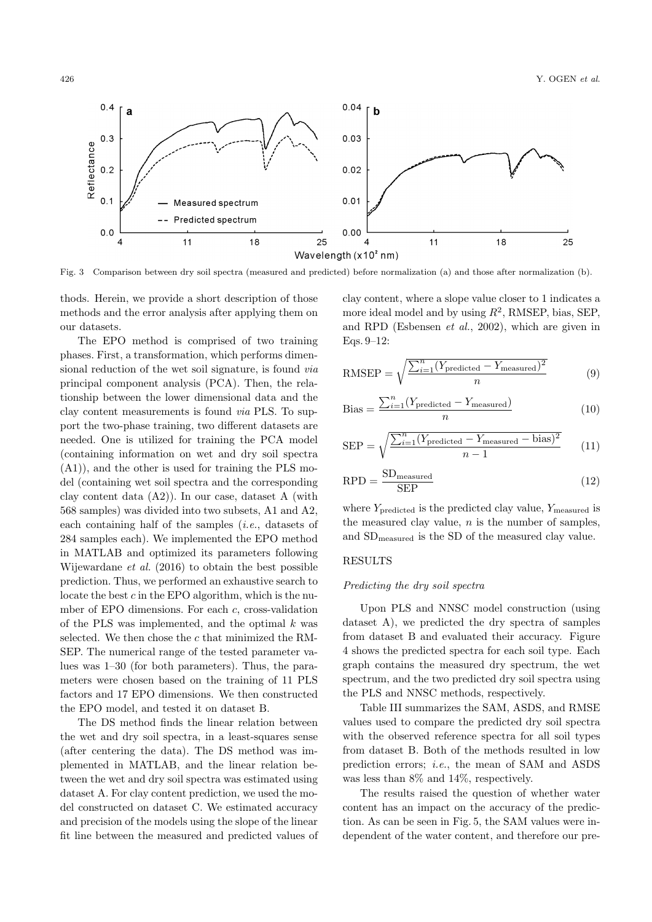

Fig. 3 Comparison between dry soil spectra (measured and predicted) before normalization (a) and those after normalization (b).

thods. Herein, we provide a short description of those methods and the error analysis after applying them on our datasets.

The EPO method is comprised of two training phases. First, a transformation, which performs dimensional reduction of the wet soil signature, is found *via* principal component analysis (PCA). Then, the relationship between the lower dimensional data and the clay content measurements is found *via* PLS. To support the two-phase training, two different datasets are needed. One is utilized for training the PCA model (containing information on wet and dry soil spectra (A1)), and the other is used for training the PLS model (containing wet soil spectra and the corresponding clay content data (A2)). In our case, dataset A (with 568 samples) was divided into two subsets, A1 and A2, each containing half of the samples (*i.e.*, datasets of 284 samples each). We implemented the EPO method in MATLAB and optimized its parameters following Wijewardane *et al.* (2016) to obtain the best possible prediction. Thus, we performed an exhaustive search to locate the best *c* in the EPO algorithm, which is the number of EPO dimensions. For each *c*, cross-validation of the PLS was implemented, and the optimal *k* was selected. We then chose the *c* that minimized the RM-SEP. The numerical range of the tested parameter values was 1–30 (for both parameters). Thus, the parameters were chosen based on the training of 11 PLS factors and 17 EPO dimensions. We then constructed the EPO model, and tested it on dataset B.

The DS method finds the linear relation between the wet and dry soil spectra, in a least-squares sense (after centering the data). The DS method was implemented in MATLAB, and the linear relation between the wet and dry soil spectra was estimated using dataset A. For clay content prediction, we used the model constructed on dataset C. We estimated accuracy and precision of the models using the slope of the linear fit line between the measured and predicted values of clay content, where a slope value closer to 1 indicates a more ideal model and by using  $R^2$ , RMSEP, bias, SEP, and RPD (Esbensen *et al.*, 2002), which are given in Eqs. 9–12:

RMSEP = 
$$
\sqrt{\frac{\sum_{i=1}^{n} (Y_{\text{predicted}} - Y_{\text{measured}})^2}{n}}
$$
 (9)

$$
Bias = \frac{\sum_{i=1}^{n} (Y_{predicted} - Y_{measured})}{n}
$$
 (10)

$$
SEP = \sqrt{\frac{\sum_{i=1}^{n} (Y_{predicted} - Y_{measured} - bias)^{2}}{n - 1}}
$$
 (11)

$$
RPD = \frac{SD_{measured}}{SEP}
$$
 (12)

where  $Y_{predicted}$  is the predicted clay value,  $Y_{measured}$  is the measured clay value, *n* is the number of samples, and  $SD_{\text{measured}}$  is the SD of the measured clay value.

# RESULTS

#### *Predicting the dry soil spectra*

Upon PLS and NNSC model construction (using dataset A), we predicted the dry spectra of samples from dataset B and evaluated their accuracy. Figure 4 shows the predicted spectra for each soil type. Each graph contains the measured dry spectrum, the wet spectrum, and the two predicted dry soil spectra using the PLS and NNSC methods, respectively.

Table III summarizes the SAM, ASDS, and RMSE values used to compare the predicted dry soil spectra with the observed reference spectra for all soil types from dataset B. Both of the methods resulted in low prediction errors; *i.e.*, the mean of SAM and ASDS was less than 8% and 14%, respectively.

The results raised the question of whether water content has an impact on the accuracy of the prediction. As can be seen in Fig. 5, the SAM values were independent of the water content, and therefore our pre-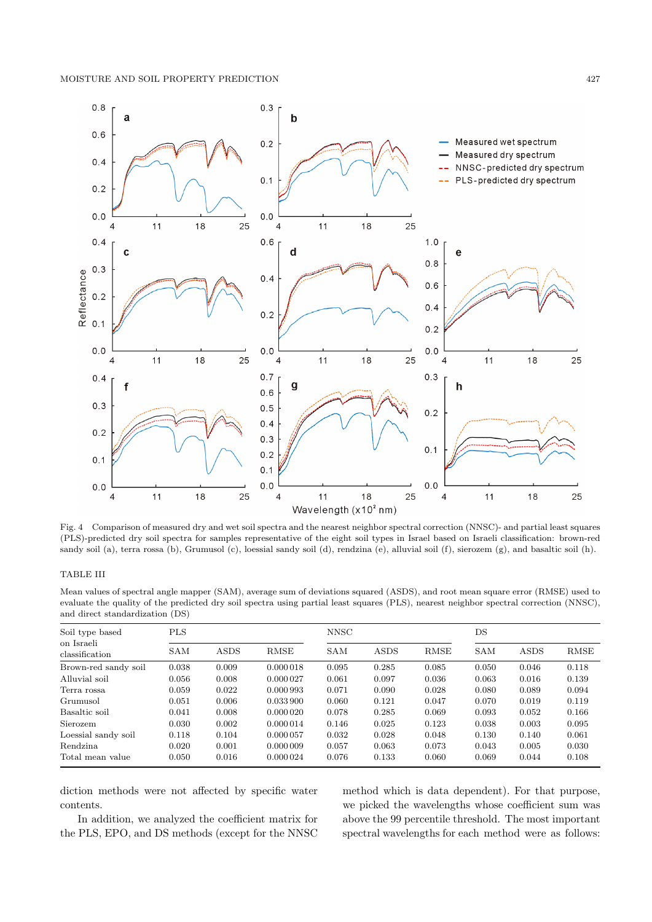

Fig. 4 Comparison of measured dry and wet soil spectra and the nearest neighbor spectral correction (NNSC)- and partial least squares (PLS)-predicted dry soil spectra for samples representative of the eight soil types in Israel based on Israeli classification: brown-red sandy soil (a), terra rossa (b), Grumusol (c), loessial sandy soil (d), rendzina (e), alluvial soil (f), sierozem (g), and basaltic soil (h).

#### TABLE III

Mean values of spectral angle mapper (SAM), average sum of deviations squared (ASDS), and root mean square error (RMSE) used to evaluate the quality of the predicted dry soil spectra using partial least squares (PLS), nearest neighbor spectral correction (NNSC), and direct standardization (DS)

| Soil type based<br>on Israeli<br>classification | <b>PLS</b> |             |             | <b>NNSC</b> |             |       | DS         |             |             |
|-------------------------------------------------|------------|-------------|-------------|-------------|-------------|-------|------------|-------------|-------------|
|                                                 | <b>SAM</b> | <b>ASDS</b> | <b>RMSE</b> | <b>SAM</b>  | <b>ASDS</b> | RMSE  | <b>SAM</b> | <b>ASDS</b> | <b>RMSE</b> |
| Brown-red sandy soil                            | 0.038      | 0.009       | 0.000018    | 0.095       | 0.285       | 0.085 | 0.050      | 0.046       | 0.118       |
| Alluvial soil                                   | 0.056      | 0.008       | 0.000027    | 0.061       | 0.097       | 0.036 | 0.063      | 0.016       | 0.139       |
| Terra rossa                                     | 0.059      | 0.022       | 0.000 993   | 0.071       | 0.090       | 0.028 | 0.080      | 0.089       | 0.094       |
| Grumusol                                        | 0.051      | 0.006       | 0.033 900   | 0.060       | 0.121       | 0.047 | 0.070      | 0.019       | 0.119       |
| Basaltic soil                                   | 0.041      | 0.008       | 0.000 020   | 0.078       | 0.285       | 0.069 | 0.093      | 0.052       | 0.166       |
| Sierozem                                        | 0.030      | 0.002       | 0.000 014   | 0.146       | 0.025       | 0.123 | 0.038      | 0.003       | 0.095       |
| Loessial sandy soil                             | 0.118      | 0.104       | 0.000 057   | 0.032       | 0.028       | 0.048 | 0.130      | 0.140       | 0.061       |
| Rendzina                                        | 0.020      | 0.001       | 0.000 009   | 0.057       | 0.063       | 0.073 | 0.043      | 0.005       | 0.030       |
| Total mean value                                | 0.050      | 0.016       | 0.000 024   | 0.076       | 0.133       | 0.060 | 0.069      | 0.044       | 0.108       |

diction methods were not affected by specific water contents.

In addition, we analyzed the coefficient matrix for the PLS, EPO, and DS methods (except for the NNSC method which is data dependent). For that purpose, we picked the wavelengths whose coefficient sum was above the 99 percentile threshold. The most important spectral wavelengths for each method were as follows: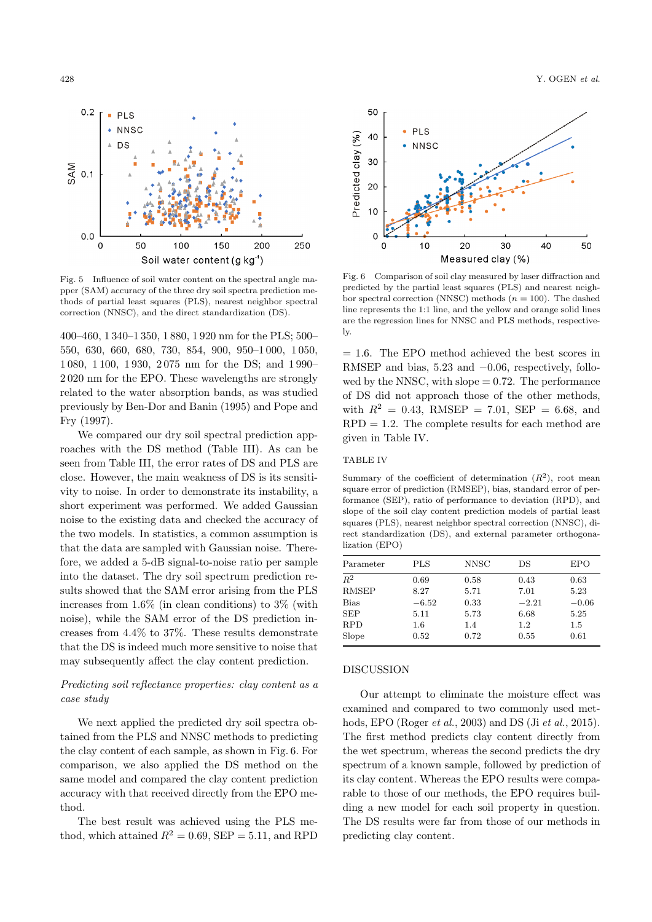

Fig. 5 Influence of soil water content on the spectral angle mapper (SAM) accuracy of the three dry soil spectra prediction methods of partial least squares (PLS), nearest neighbor spectral correction (NNSC), and the direct standardization (DS).

400–460, 1 340–1 350, 1 880, 1 920 nm for the PLS; 500– 550, 630, 660, 680, 730, 854, 900, 950–1 000, 1 050, 1 080, 1 100, 1 930, 2 075 nm for the DS; and 1 990– 2 020 nm for the EPO. These wavelengths are strongly related to the water absorption bands, as was studied previously by Ben-Dor and Banin (1995) and Pope and Fry (1997).

We compared our dry soil spectral prediction approaches with the DS method (Table III). As can be seen from Table III, the error rates of DS and PLS are close. However, the main weakness of DS is its sensitivity to noise. In order to demonstrate its instability, a short experiment was performed. We added Gaussian noise to the existing data and checked the accuracy of the two models. In statistics, a common assumption is that the data are sampled with Gaussian noise. Therefore, we added a 5-dB signal-to-noise ratio per sample into the dataset. The dry soil spectrum prediction results showed that the SAM error arising from the PLS increases from 1.6% (in clean conditions) to 3% (with noise), while the SAM error of the DS prediction increases from 4.4% to 37%. These results demonstrate that the DS is indeed much more sensitive to noise that may subsequently affect the clay content prediction.

# *Predicting soil reflectance properties: clay content as a case study*

We next applied the predicted dry soil spectra obtained from the PLS and NNSC methods to predicting the clay content of each sample, as shown in Fig. 6. For comparison, we also applied the DS method on the same model and compared the clay content prediction accuracy with that received directly from the EPO method.

The best result was achieved using the PLS method, which attained  $R^2 = 0.69$ , SEP = 5.11, and RPD



Fig. 6 Comparison of soil clay measured by laser diffraction and predicted by the partial least squares (PLS) and nearest neighbor spectral correction (NNSC) methods  $(n = 100)$ . The dashed line represents the 1:1 line, and the yellow and orange solid lines are the regression lines for NNSC and PLS methods, respectively.

= 1.6. The EPO method achieved the best scores in RMSEP and bias, 5.23 and *−*0*.*06, respectively, followed by the NNSC, with slope  $= 0.72$ . The performance of DS did not approach those of the other methods, with  $R^2 = 0.43$ , RMSEP = 7.01, SEP = 6.68, and  $RPD = 1.2$ . The complete results for each method are given in Table IV.

#### TABLE IV

Summary of the coefficient of determination  $(R^2)$ , root mean square error of prediction (RMSEP), bias, standard error of performance (SEP), ratio of performance to deviation (RPD), and slope of the soil clay content prediction models of partial least squares (PLS), nearest neighbor spectral correction (NNSC), direct standardization (DS), and external parameter orthogonalization (EPO)

| Parameter    | PLS     | NNSC | DS      | <b>EPO</b> |
|--------------|---------|------|---------|------------|
| $R^2$        | 0.69    | 0.58 | 0.43    | 0.63       |
| <b>RMSEP</b> | 8.27    | 5.71 | 7.01    | 5.23       |
| Bias         | $-6.52$ | 0.33 | $-2.21$ | $-0.06$    |
| <b>SEP</b>   | 5.11    | 5.73 | 6.68    | 5.25       |
| <b>RPD</b>   | $1.6\,$ | 1.4  | 1.2     | $1.5\,$    |
| Slope        | 0.52    | 0.72 | 0.55    | 0.61       |
|              |         |      |         |            |

#### DISCUSSION

Our attempt to eliminate the moisture effect was examined and compared to two commonly used methods, EPO (Roger *et al.*, 2003) and DS (Ji *et al.*, 2015). The first method predicts clay content directly from the wet spectrum, whereas the second predicts the dry spectrum of a known sample, followed by prediction of its clay content. Whereas the EPO results were comparable to those of our methods, the EPO requires building a new model for each soil property in question. The DS results were far from those of our methods in predicting clay content.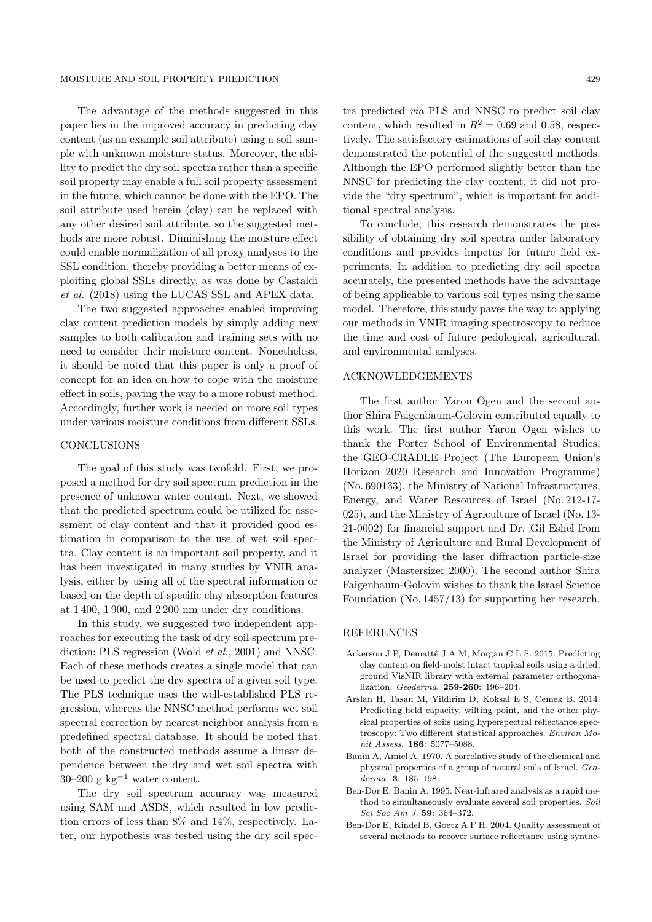The advantage of the methods suggested in this paper lies in the improved accuracy in predicting clay content (as an example soil attribute) using a soil sample with unknown moisture status. Moreover, the ability to predict the dry soil spectra rather than a specific soil property may enable a full soil property assessment in the future, which cannot be done with the EPO. The soil attribute used herein (clay) can be replaced with any other desired soil attribute, so the suggested methods are more robust. Diminishing the moisture effect could enable normalization of all proxy analyses to the SSL condition, thereby providing a better means of exploiting global SSLs directly, as was done by Castaldi *et al.* (2018) using the LUCAS SSL and APEX data.

The two suggested approaches enabled improving clay content prediction models by simply adding new samples to both calibration and training sets with no need to consider their moisture content. Nonetheless, it should be noted that this paper is only a proof of concept for an idea on how to cope with the moisture effect in soils, paving the way to a more robust method. Accordingly, further work is needed on more soil types under various moisture conditions from different SSLs.

#### CONCLUSIONS

The goal of this study was twofold. First, we proposed a method for dry soil spectrum prediction in the presence of unknown water content. Next, we showed that the predicted spectrum could be utilized for assessment of clay content and that it provided good estimation in comparison to the use of wet soil spectra. Clay content is an important soil property, and it has been investigated in many studies by VNIR analysis, either by using all of the spectral information or based on the depth of specific clay absorption features at 1 400, 1 900, and 2 200 nm under dry conditions.

In this study, we suggested two independent approaches for executing the task of dry soil spectrum prediction: PLS regression (Wold *et al.*, 2001) and NNSC. Each of these methods creates a single model that can be used to predict the dry spectra of a given soil type. The PLS technique uses the well-established PLS regression, whereas the NNSC method performs wet soil spectral correction by nearest neighbor analysis from a predefined spectral database. It should be noted that both of the constructed methods assume a linear dependence between the dry and wet soil spectra with 30–200 g kg*−*<sup>1</sup> water content.

The dry soil spectrum accuracy was measured using SAM and ASDS, which resulted in low prediction errors of less than 8% and 14%, respectively. Later, our hypothesis was tested using the dry soil spectra predicted *via* PLS and NNSC to predict soil clay content, which resulted in  $R^2 = 0.69$  and 0.58, respectively. The satisfactory estimations of soil clay content demonstrated the potential of the suggested methods. Although the EPO performed slightly better than the NNSC for predicting the clay content, it did not provide the "dry spectrum", which is important for additional spectral analysis.

To conclude, this research demonstrates the possibility of obtaining dry soil spectra under laboratory conditions and provides impetus for future field experiments. In addition to predicting dry soil spectra accurately, the presented methods have the advantage of being applicable to various soil types using the same model. Therefore, this study paves the way to applying our methods in VNIR imaging spectroscopy to reduce the time and cost of future pedological, agricultural, and environmental analyses.

### ACKNOWLEDGEMENTS

The first author Yaron Ogen and the second author Shira Faigenbaum-Golovin contributed equally to this work. The first author Yaron Ogen wishes to thank the Porter School of Environmental Studies, the GEO-CRADLE Project (The European Union's Horizon 2020 Research and Innovation Programme) (No. 690133), the Ministry of National Infrastructures, Energy, and Water Resources of Israel (No. 212-17- 025), and the Ministry of Agriculture of Israel (No. 13- 21-0002) for financial support and Dr. Gil Eshel from the Ministry of Agriculture and Rural Development of Israel for providing the laser diffraction particle-size analyzer (Mastersizer 2000). The second author Shira Faigenbaum-Golovin wishes to thank the Israel Science Foundation (No. 1457/13) for supporting her research.

### REFERENCES

- Ackerson J P, Demattê J A M, Morgan C L S. 2015. Predicting clay content on field-moist intact tropical soils using a dried, ground VisNIR library with external parameter orthogonalization. *Geoderma*. **259-260**: 196–204.
- Arslan H, Tasan M, Yildirim D, Koksal E S, Cemek B. 2014. Predicting field capacity, wilting point, and the other physical properties of soils using hyperspectral reflectance spectroscopy: Two different statistical approaches. *Environ Monit Assess*. **186**: 5077–5088.
- Banin A, Amiel A. 1970. A correlative study of the chemical and physical properties of a group of natural soils of Israel. *Geoderma*. **3**: 185–198.
- Ben-Dor E, Banin A. 1995. Near-infrared analysis as a rapid method to simultaneously evaluate several soil properties. *Soil Sci Soc Am J*. **59**: 364–372.
- Ben-Dor E, Kindel B, Goetz A F H. 2004. Quality assessment of several methods to recover surface reflectance using synthe-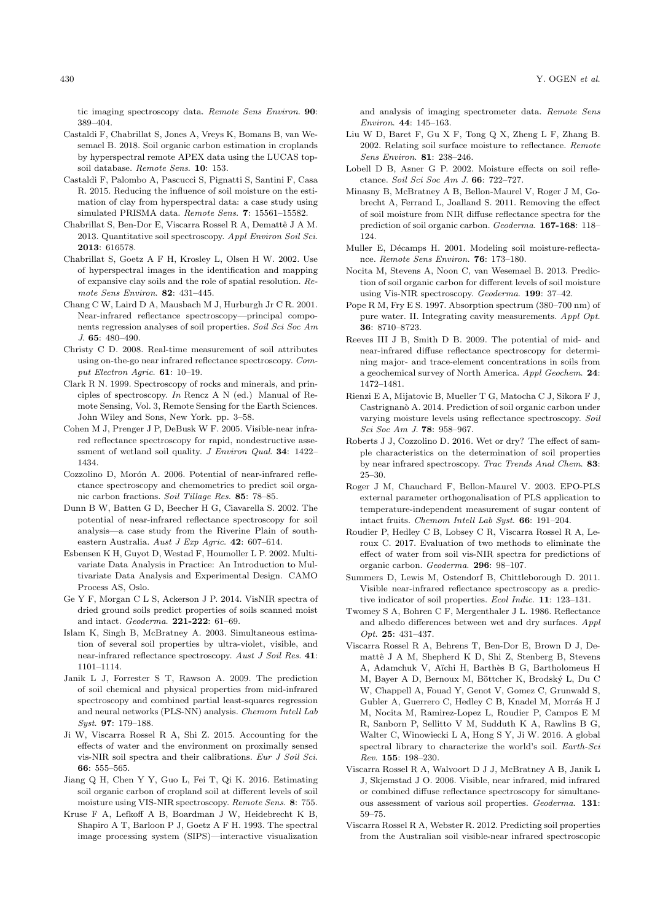tic imaging spectroscopy data. *Remote Sens Environ*. **90**: 389–404.

- Castaldi F, Chabrillat S, Jones A, Vreys K, Bomans B, van Wesemael B. 2018. Soil organic carbon estimation in croplands by hyperspectral remote APEX data using the LUCAS topsoil database. *Remote Sens*. **10**: 153.
- Castaldi F, Palombo A, Pascucci S, Pignatti S, Santini F, Casa R. 2015. Reducing the influence of soil moisture on the estimation of clay from hyperspectral data: a case study using simulated PRISMA data. *Remote Sens*. **7**: 15561–15582.
- Chabrillat S, Ben-Dor E, Viscarra Rossel R, A, Demattê J, A, M. 2013. Quantitative soil spectroscopy. *Appl Environ Soil Sci*. **2013**: 616578.
- Chabrillat S, Goetz A F H, Krosley L, Olsen H W. 2002. Use of hyperspectral images in the identification and mapping of expansive clay soils and the role of spatial resolution. *Remote Sens Environ*. **82**: 431–445.
- Chang C W, Laird D A, Mausbach M J, Hurburgh Jr C R. 2001. Near-infrared reflectance spectroscopy—principal components regression analyses of soil properties. *Soil Sci Soc Am J*. **65**: 480–490.
- Christy C D. 2008. Real-time measurement of soil attributes using on-the-go near infrared reflectance spectroscopy. *Comput Electron Agric*. **61**: 10–19.
- Clark R N. 1999. Spectroscopy of rocks and minerals, and principles of spectroscopy. *In* Rencz A N (ed.) Manual of Remote Sensing, Vol. 3, Remote Sensing for the Earth Sciences. John Wiley and Sons, New York. pp. 3–58.
- Cohen M J, Prenger J P, DeBusk W F. 2005. Visible-near infrared reflectance spectroscopy for rapid, nondestructive assessment of wetland soil quality. *J Environ Qual*. **34**: 1422– 1434.
- Cozzolino D, Morón A. 2006. Potential of near-infrared reflectance spectroscopy and chemometrics to predict soil organic carbon fractions. *Soil Tillage Res*. **85**: 78–85.
- Dunn B W, Batten G D, Beecher H G, Ciavarella S. 2002. The potential of near-infrared reflectance spectroscopy for soil analysis—a case study from the Riverine Plain of southeastern Australia. *Aust J Exp Agric*. **42**: 607–614.
- Esbensen K H, Guyot D, Westad F, Houmoller L P. 2002. Multivariate Data Analysis in Practice: An Introduction to Multivariate Data Analysis and Experimental Design. CAMO Process AS, Oslo.
- Ge Y F, Morgan C L S, Ackerson J P. 2014. VisNIR spectra of dried ground soils predict properties of soils scanned moist and intact. *Geoderma*. **221-222**: 61–69.
- Islam K, Singh B, McBratney A. 2003. Simultaneous estimation of several soil properties by ultra-violet, visible, and near-infrared reflectance spectroscopy. *Aust J Soil Res*. **41**: 1101–1114.
- Janik L J, Forrester S T, Rawson A. 2009. The prediction of soil chemical and physical properties from mid-infrared spectroscopy and combined partial least-squares regression and neural networks (PLS-NN) analysis. *Chemom Intell Lab Syst*. **97**: 179–188.
- Ji W, Viscarra Rossel R A, Shi Z. 2015. Accounting for the effects of water and the environment on proximally sensed vis-NIR soil spectra and their calibrations. *Eur J Soil Sci*. **66**: 555–565.
- Jiang Q H, Chen Y Y, Guo L, Fei T, Qi K. 2016. Estimating soil organic carbon of cropland soil at different levels of soil moisture using VIS-NIR spectroscopy. *Remote Sens*. **8**: 755.
- Kruse F A, Lefkoff A B, Boardman J W, Heidebrecht K B, Shapiro A T, Barloon P J, Goetz A F H. 1993. The spectral image processing system (SIPS)—interactive visualization

and analysis of imaging spectrometer data. *Remote Sens Environ*. **44**: 145–163.

- Liu W D, Baret F, Gu X F, Tong Q X, Zheng L F, Zhang B. 2002. Relating soil surface moisture to reflectance. *Remote Sens Environ*. **81**: 238–246.
- Lobell D B, Asner G P. 2002. Moisture effects on soil reflectance. *Soil Sci Soc Am J*. **66**: 722–727.
- Minasny B, McBratney A B, Bellon-Maurel V, Roger J M, Gobrecht A, Ferrand L, Joalland S. 2011. Removing the effect of soil moisture from NIR diffuse reflectance spectra for the prediction of soil organic carbon. *Geoderma*. **167-168**: 118– 124.
- Muller E, Décamps H. 2001. Modeling soil moisture-reflectance. *Remote Sens Environ*. **76**: 173–180.
- Nocita M, Stevens A, Noon C, van Wesemael B. 2013. Prediction of soil organic carbon for different levels of soil moisture using Vis-NIR spectroscopy. *Geoderma*. **199**: 37–42.
- Pope R M, Fry E S. 1997. Absorption spectrum (380–700 nm) of pure water. II. Integrating cavity measurements. *Appl Opt*. **36**: 8710–8723.
- Reeves III J B, Smith D B. 2009. The potential of mid- and near-infrared diffuse reflectance spectroscopy for determining major- and trace-element concentrations in soils from a geochemical survey of North America. *Appl Geochem*. **24**: 1472–1481.
- Rienzi E A, Mijatovic B, Mueller T G, Matocha C J, Sikora F J, Castrignanò A. 2014. Prediction of soil organic carbon under varying moisture levels using reflectance spectroscopy. *Soil Sci Soc Am J*. **78**: 958–967.
- Roberts J J, Cozzolino D. 2016. Wet or dry? The effect of sample characteristics on the determination of soil properties by near infrared spectroscopy. *Trac Trends Anal Chem*. **83**: 25–30.
- Roger J M, Chauchard F, Bellon-Maurel V. 2003. EPO-PLS external parameter orthogonalisation of PLS application to temperature-independent measurement of sugar content of intact fruits. *Chemom Intell Lab Syst*. **66**: 191–204.
- Roudier P, Hedley C B, Lobsey C R, Viscarra Rossel R A, Leroux C. 2017. Evaluation of two methods to eliminate the effect of water from soil vis-NIR spectra for predictions of organic carbon. *Geoderma*. **296**: 98–107.
- Summers D, Lewis M, Ostendorf B, Chittleborough D. 2011. Visible near-infrared reflectance spectroscopy as a predictive indicator of soil properties. *Ecol Indic*. **11**: 123–131.
- Twomey S A, Bohren C F, Mergenthaler J L. 1986. Reflectance and albedo differences between wet and dry surfaces. *Appl Opt*. **25**: 431–437.
- Viscarra Rossel R A, Behrens T, Ben-Dor E, Brown D J, Demattê J A M, Shepherd K D, Shi Z, Stenberg B, Stevens A, Adamchuk V, Aïchi H, Barthès B G, Bartholomeus H M, Bayer A D, Bernoux M, Böttcher K, Brodský L, Du C W, Chappell A, Fouad Y, Genot V, Gomez C, Grunwald S, Gubler A, Guerrero C, Hedley C B, Knadel M, Morrás H J M, Nocita M, Ramirez-Lopez L, Roudier P, Campos E M R, Sanborn P, Sellitto V M, Sudduth K A, Rawlins B G, Walter C, Winowiecki L A, Hong S Y, Ji W. 2016. A global spectral library to characterize the world's soil. *Earth-Sci Rev*. **155**: 198–230.
- Viscarra Rossel R A, Walvoort D J J, McBratney A B, Janik L J, Skjemstad J O. 2006. Visible, near infrared, mid infrared or combined diffuse reflectance spectroscopy for simultaneous assessment of various soil properties. *Geoderma*. **131**: 59–75.
- Viscarra Rossel R A, Webster R. 2012. Predicting soil properties from the Australian soil visible-near infrared spectroscopic